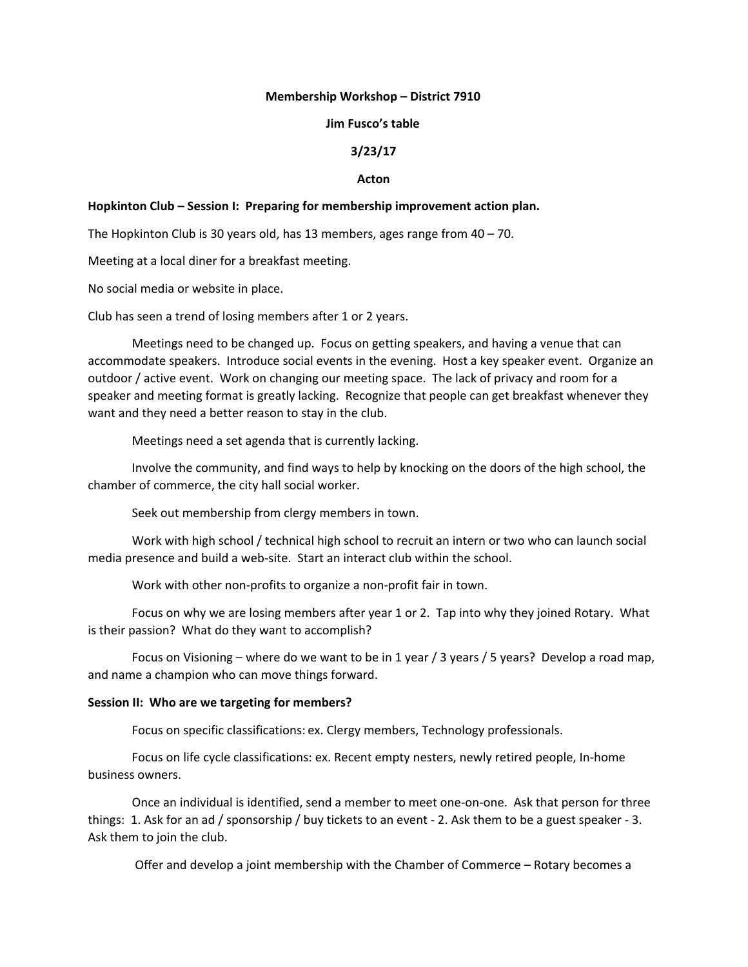## **Membership Workshop – District 7910**

### **Jim Fusco's table**

# **3/23/17**

### **Acton**

## **Hopkinton Club – Session I: Preparing for membership improvement action plan.**

The Hopkinton Club is 30 years old, has 13 members, ages range from 40 – 70.

Meeting at a local diner for a breakfast meeting.

No social media or website in place.

Club has seen a trend of losing members after 1 or 2 years.

Meetings need to be changed up. Focus on getting speakers, and having a venue that can accommodate speakers. Introduce social events in the evening. Host a key speaker event. Organize an outdoor / active event. Work on changing our meeting space. The lack of privacy and room for a speaker and meeting format is greatly lacking. Recognize that people can get breakfast whenever they want and they need a better reason to stay in the club.

Meetings need a set agenda that is currently lacking.

Involve the community, and find ways to help by knocking on the doors of the high school, the chamber of commerce, the city hall social worker.

Seek out membership from clergy members in town.

Work with high school / technical high school to recruit an intern or two who can launch social media presence and build a web-site. Start an interact club within the school.

Work with other non-profits to organize a non-profit fair in town.

Focus on why we are losing members after year 1 or 2. Tap into why they joined Rotary. What is their passion? What do they want to accomplish?

Focus on Visioning – where do we want to be in 1 year / 3 years / 5 years? Develop a road map, and name a champion who can move things forward.

#### **Session II: Who are we targeting for members?**

Focus on specific classifications: ex. Clergy members, Technology professionals.

Focus on life cycle classifications: ex. Recent empty nesters, newly retired people, In-home business owners.

Once an individual is identified, send a member to meet one-on-one. Ask that person for three things: 1. Ask for an ad / sponsorship / buy tickets to an event - 2. Ask them to be a guest speaker - 3. Ask them to join the club.

Offer and develop a joint membership with the Chamber of Commerce – Rotary becomes a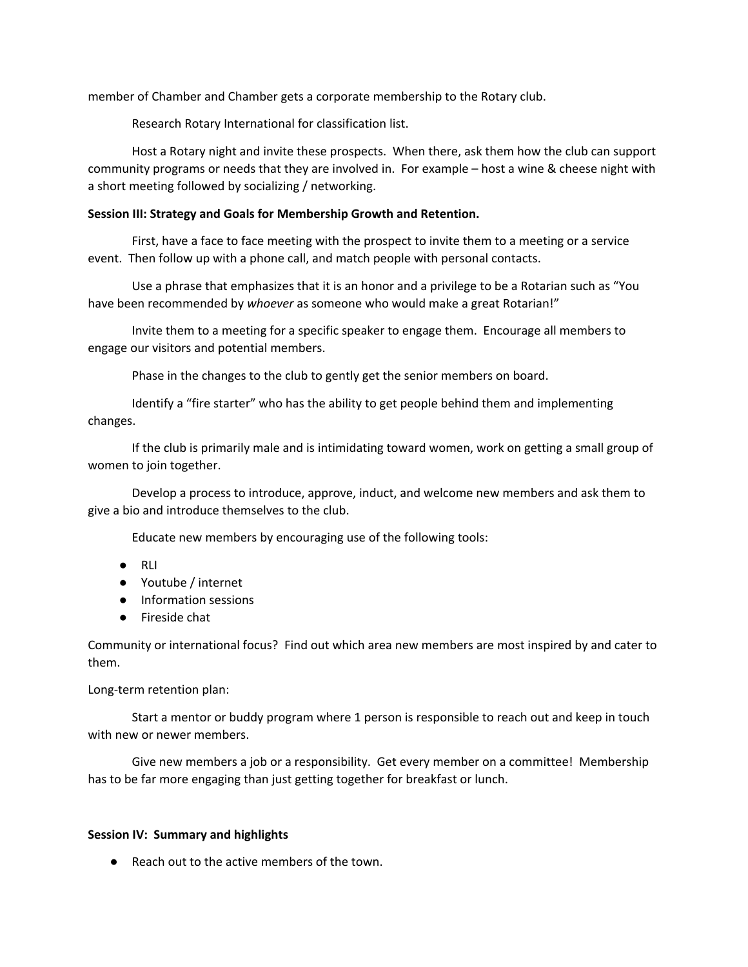member of Chamber and Chamber gets a corporate membership to the Rotary club.

Research Rotary International for classification list.

Host a Rotary night and invite these prospects. When there, ask them how the club can support community programs or needs that they are involved in. For example – host a wine & cheese night with a short meeting followed by socializing / networking.

# **Session III: Strategy and Goals for Membership Growth and Retention.**

First, have a face to face meeting with the prospect to invite them to a meeting or a service event. Then follow up with a phone call, and match people with personal contacts.

Use a phrase that emphasizes that it is an honor and a privilege to be a Rotarian such as "You have been recommended by *whoever* as someone who would make a great Rotarian!"

Invite them to a meeting for a specific speaker to engage them. Encourage all members to engage our visitors and potential members.

Phase in the changes to the club to gently get the senior members on board.

Identify a "fire starter" who has the ability to get people behind them and implementing changes.

If the club is primarily male and is intimidating toward women, work on getting a small group of women to join together.

Develop a process to introduce, approve, induct, and welcome new members and ask them to give a bio and introduce themselves to the club.

Educate new members by encouraging use of the following tools:

- RLI
- Youtube / internet
- Information sessions
- Fireside chat

Community or international focus? Find out which area new members are most inspired by and cater to them.

Long-term retention plan:

Start a mentor or buddy program where 1 person is responsible to reach out and keep in touch with new or newer members.

Give new members a job or a responsibility. Get every member on a committee! Membership has to be far more engaging than just getting together for breakfast or lunch.

# **Session IV: Summary and highlights**

● Reach out to the active members of the town.